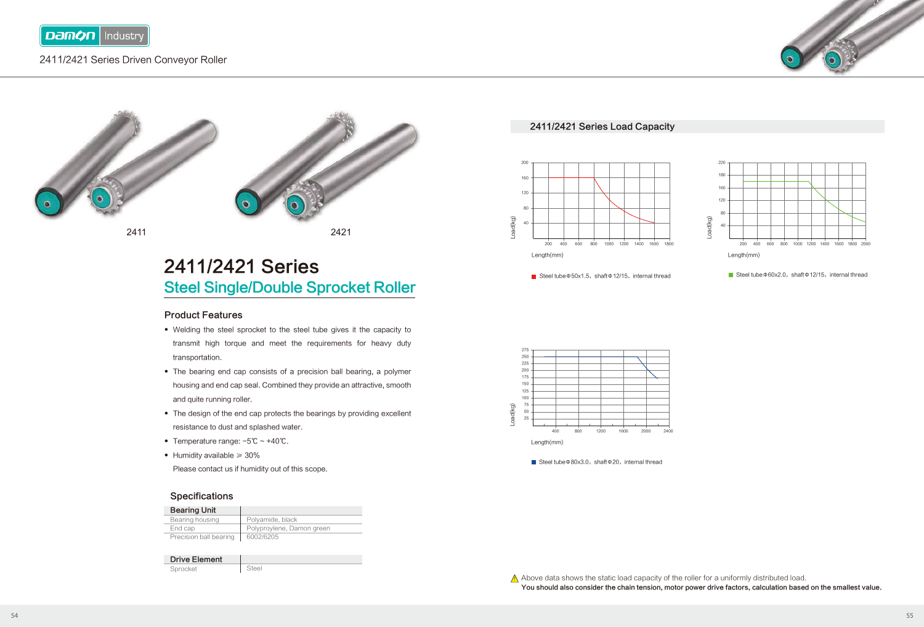

### 2411/2421 Series Driven Conveyor Roller



2411 2421

# 2411/2421 Series Steel Single/Double Sprocket Roller

#### Product Features

- Welding the steel sprocket to the steel tube gives it the capacity to transmit high torque and meet the requirements for heavy duty transportation.
- The bearing end cap consists of a precision ball bearing, a polymer housing and end cap seal. Combined they provide an attractive, smooth and quite running roller.
- The design of the end cap protects the bearings by providing excellent resistance to dust and splashed water.
- Temperature range: -5℃ ~ +40℃. ●
- Humidity available ≥ 30% ●

Please contact us if humidity out of this scope.

#### **Specifications**

| <b>Bearing Unit</b>    |                           |
|------------------------|---------------------------|
| Bearing housing        | Polyamide, black          |
| End cap                | Polyproylene, Damon green |
| Precision ball bearing | 6002/6205                 |
|                        |                           |

| <b>Drive Element</b> |  |
|----------------------|--|
| Sprocket             |  |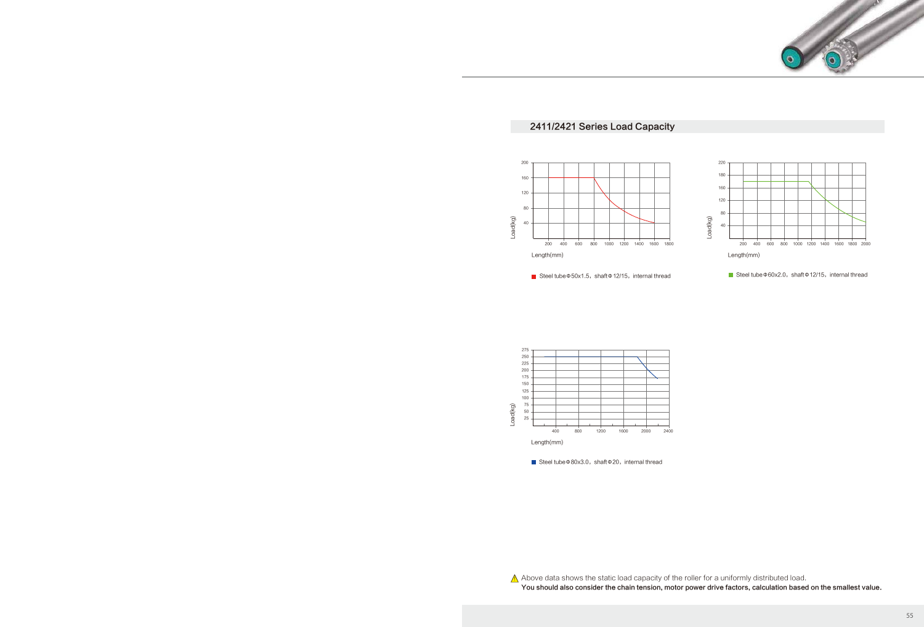

### 2411/2421 Series Load Capacity



■ Steel tubeΦ50x1.5, shaftΦ12/15, internal thread



<sup>■</sup> Steel tubeΦ60x2.0, shaftΦ12/15, internal thread



■ Steel tubeΦ80x3.0, shaftΦ20, internal thread

 $\bigwedge$  Above data shows the static load capacity of the roller for a uniformly distributed load.

You should also consider the chain tension, motor power drive factors, calculation based on the smallest value.